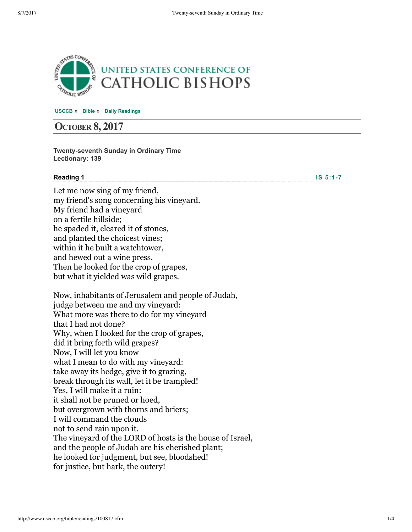

**[USCCB](http://www.usccb.org/)** » **[Bible](http://www.usccb.org/bible/)** » **[Daily Readings](http://www.usccb.org/bible/readings/)**

# **OCTOBER 8, 2017**

**Twenty-seventh Sunday in Ordinary Time Lectionary: 139**

#### **Reading 1**

**IS** 5:1-7

Let me now sing of my friend, my friend's song concerning his vineyard. My friend had a vineyard on a fertile hillside; he spaded it, cleared it of stones, and planted the choicest vines; within it he built a watchtower, and hewed out a wine press. Then he looked for the crop of grapes, but what it yielded was wild grapes.

Now, inhabitants of Jerusalem and people of Judah, judge between me and my vineyard: What more was there to do for my vineyard that I had not done? Why, when I looked for the crop of grapes, did it bring forth wild grapes? Now, I will let you know what I mean to do with my vineyard: take away its hedge, give it to grazing, break through its wall, let it be trampled! Yes, I will make it a ruin: it shall not be pruned or hoed, but overgrown with thorns and briers; I will command the clouds not to send rain upon it. The vineyard of the LORD of hosts is the house of Israel, and the people of Judah are his cherished plant; he looked for judgment, but see, bloodshed! for justice, but hark, the outcry!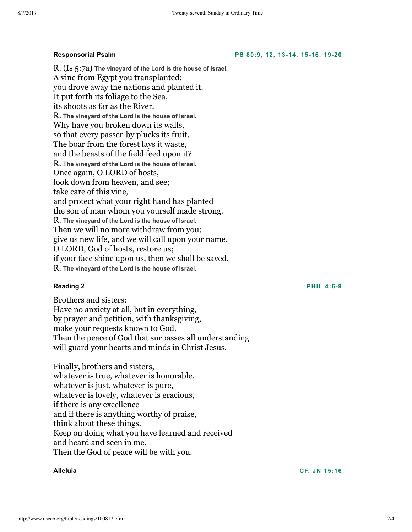#### **Responsorial Psalm**

R. (Is 5:7a) **The vineyard of the Lord is the house of Israel.** A vine from Egypt you transplanted; you drove away the nations and planted it. It put forth its foliage to the Sea, its shoots as far as the River. R. **The vineyard of the Lord is the house of Israel.** Why have you broken down its walls, so that every passer-by plucks its fruit, The boar from the forest lays it waste, and the beasts of the field feed upon it? R. **The vineyard of the Lord is the house of Israel.** Once again, O LORD of hosts, look down from heaven, and see; take care of this vine, and protect what your right hand has planted the son of man whom you yourself made strong. R. **The vineyard of the Lord is the house of Israel.** Then we will no more withdraw from you; give us new life, and we will call upon your name. O LORD, God of hosts, restore us; if your face shine upon us, then we shall be saved. R. **The vineyard of the Lord is the house of Israel.**

#### **Reading 2**

Brothers and sisters: Have no anxiety at all, but in everything, by prayer and petition, with thanksgiving, make your requests known to God. Then the peace of God that surpasses all understanding will guard your hearts and minds in Christ Jesus.

Finally, brothers and sisters, whatever is true, whatever is honorable, whatever is just, whatever is pure, whatever is lovely, whatever is gracious, if there is any excellence and if there is anything worthy of praise, think about these things. Keep on doing what you have learned and received and heard and seen in me. Then the God of peace will be with you.

#### **Alleluia**

**CF. JN [15:16](http://www.usccb.org/bible/readings/bible/john/15:16)**

**PS 80:9, 12, [1314,](http://www.usccb.org/bible/readings/bible/psalms/80:9) 1516, 1920**

**PHIL 4:6-9**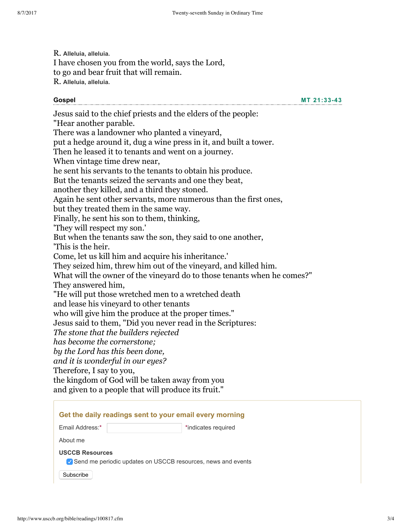R. **Alleluia, alleluia.** I have chosen you from the world, says the Lord, to go and bear fruit that will remain. R. **Alleluia, alleluia.**

#### **Gospel**

**MT [21:3343](http://www.usccb.org/bible/readings/bible/matthew/21:33)**

Jesus said to the chief priests and the elders of the people: "Hear another parable. There was a landowner who planted a vineyard, put a hedge around it, dug a wine press in it, and built a tower. Then he leased it to tenants and went on a journey. When vintage time drew near, he sent his servants to the tenants to obtain his produce. But the tenants seized the servants and one they beat, another they killed, and a third they stoned. Again he sent other servants, more numerous than the first ones, but they treated them in the same way. Finally, he sent his son to them, thinking, 'They will respect my son.' But when the tenants saw the son, they said to one another, 'This is the heir. Come, let us kill him and acquire his inheritance.' They seized him, threw him out of the vineyard, and killed him. What will the owner of the vineyard do to those tenants when he comes?" They answered him, "He will put those wretched men to a wretched death and lease his vineyard to other tenants who will give him the produce at the proper times." Jesus said to them, "Did you never read in the Scriptures: *The stone that the builders rejected has become the cornerstone; by the Lord has this been done, and it is wonderful in our eyes?* Therefore, I say to you, the kingdom of God will be taken away from you and given to a people that will produce its fruit."

| Get the daily readings sent to your email every morning                                  |                     |
|------------------------------------------------------------------------------------------|---------------------|
| Email Address:*                                                                          | *indicates required |
| About me                                                                                 |                     |
| <b>USCCB Resources</b><br>✔ Send me periodic updates on USCCB resources, news and events |                     |
| Subscribe                                                                                |                     |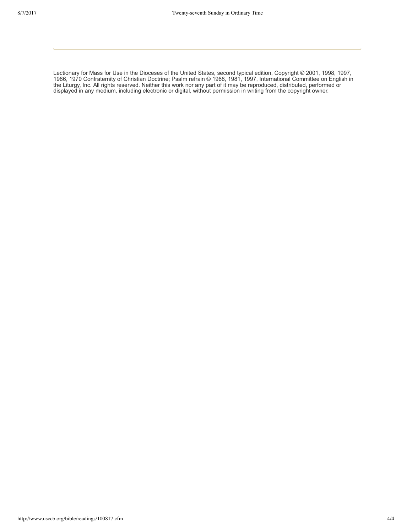Lectionary for Mass for Use in the Dioceses of the United States, second typical edition, Copyright © 2001, 1998, 1997, 1986, 1970 Confraternity of Christian Doctrine; Psalm refrain © 1968, 1981, 1997, International Committee on English in the Liturgy, Inc. All rights reserved. Neither this work nor any part of it may be reproduced, distributed, performed or displayed in any medium, including electronic or digital, without permission in writing from the copyright owner.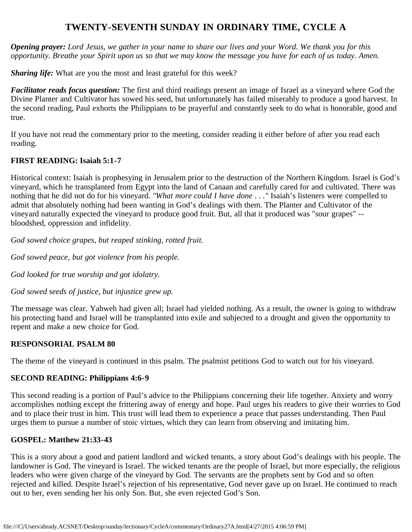# **TWENTY-SEVENTH SUNDAY IN ORDINARY TIME, CYCLE A**

*Opening prayer: Lord Jesus, we gather in your name to share our lives and your Word. We thank you for this opportunity. Breathe your Spirit upon us so that we may know the message you have for each of us today. Amen.*

*Sharing life:* What are you the most and least grateful for this week?

*Facilitator reads focus question:* The first and third readings present an image of Israel as a vineyard where God the Divine Planter and Cultivator has sowed his seed, but unfortunately has failed miserably to produce a good harvest. In the second reading, Paul exhorts the Philippians to be prayerful and constantly seek to do what is honorable, good and true.

If you have not read the commentary prior to the meeting, consider reading it either before of after you read each reading.

#### **FIRST READING: Isaiah 5:1-7**

Historical context: Isaiah is prophesying in Jerusalem prior to the destruction of the Northern Kingdom. Israel is God's vineyard, which he transplanted from Egypt into the land of Canaan and carefully cared for and cultivated. There was nothing that he did not do for his vineyard. *"What more could I have done . . ."* Isaiah's listeners were compelled to admit that absolutely nothing had been wanting in God's dealings with them. The Planter and Cultivator of the vineyard naturally expected the vineyard to produce good fruit. But, all that it produced was "sour grapes" - bloodshed, oppression and infidelity.

*God sowed choice grapes, but reaped stinking, rotted fruit.*

*God sowed peace, but got violence from his people.*

*God looked for true worship and got idolatry.*

*God sowed seeds of justice, but injustice grew up.*

The message was clear. Yahweh had given all; Israel had yielded nothing. As a result, the owner is going to withdraw his protecting hand and Israel will be transplanted into exile and subjected to a drought and given the opportunity to repent and make a new choice for God.

### **RESPONSORIAL PSALM 80**

The theme of the vineyard is continued in this psalm. The psalmist petitions God to watch out for his vineyard.

### **SECOND READING: Philippians 4:6-9**

This second reading is a portion of Paul's advice to the Philippians concerning their life together. Anxiety and worry accomplishes nothing except the frittering away of energy and hope. Paul urges his readers to give their worries to God and to place their trust in him. This trust will lead them to experience a peace that passes understanding. Then Paul urges them to pursue a number of stoic virtues, which they can learn from observing and imitating him.

### **GOSPEL: Matthew 21:33-43**

This is a story about a good and patient landlord and wicked tenants, a story about God's dealings with his people. The landowner is God. The vineyard is Israel. The wicked tenants are the people of Israel, but more especially, the religious leaders who were given charge of the vineyard by God. The servants are the prophets sent by God and so often rejected and killed. Despite Israel's rejection of his representative, God never gave up on Israel. He continued to reach out to her, even sending her his only Son. But, she even rejected God's Son.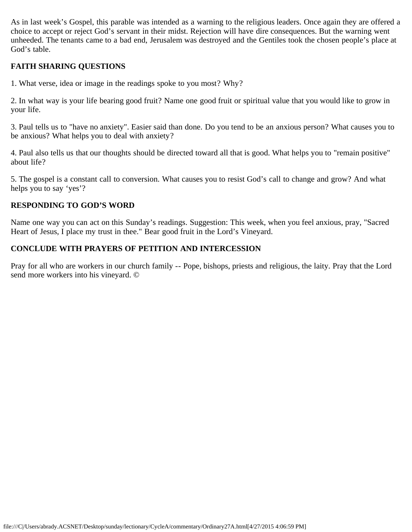As in last week's Gospel, this parable was intended as a warning to the religious leaders. Once again they are offered a choice to accept or reject God's servant in their midst. Rejection will have dire consequences. But the warning went unheeded. The tenants came to a bad end, Jerusalem was destroyed and the Gentiles took the chosen people's place at God's table.

#### **FAITH SHARING QUESTIONS**

1. What verse, idea or image in the readings spoke to you most? Why?

2. In what way is your life bearing good fruit? Name one good fruit or spiritual value that you would like to grow in your life.

3. Paul tells us to "have no anxiety". Easier said than done. Do you tend to be an anxious person? What causes you to be anxious? What helps you to deal with anxiety?

4. Paul also tells us that our thoughts should be directed toward all that is good. What helps you to "remain positive" about life?

5. The gospel is a constant call to conversion. What causes you to resist God's call to change and grow? And what helps you to say 'yes'?

### **RESPONDING TO GOD'S WORD**

Name one way you can act on this Sunday's readings. Suggestion: This week, when you feel anxious, pray, "Sacred Heart of Jesus, I place my trust in thee." Bear good fruit in the Lord's Vineyard.

#### **CONCLUDE WITH PRAYERS OF PETITION AND INTERCESSION**

Pray for all who are workers in our church family -- Pope, bishops, priests and religious, the laity. Pray that the Lord send more workers into his vineyard. ©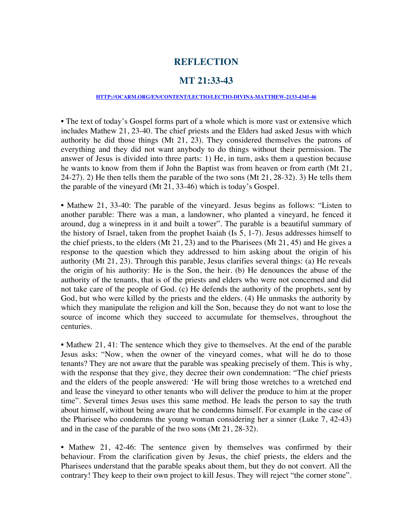## **REFLECTION**

#### **MT 21:33-43**

#### **[HTTP://OCARM.ORG/EN/CONTENT/LECTIO/LECTIO-DIVINA-MATTHEW-2133-4345-46](http://ocarm.org/en/content/lectio/lectio-divina-matthew-2133-4345-46)**

• The text of today's Gospel forms part of a whole which is more vast or extensive which includes Mathew 21, 23-40. The chief priests and the Elders had asked Jesus with which authority he did those things (Mt 21, 23). They considered themselves the patrons of everything and they did not want anybody to do things without their permission. The answer of Jesus is divided into three parts: 1) He, in turn, asks them a question because he wants to know from them if John the Baptist was from heaven or from earth (Mt 21, 24-27). 2) He then tells them the parable of the two sons (Mt 21, 28-32). 3) He tells them the parable of the vineyard (Mt 21, 33-46) which is today's Gospel.

• Mathew 21, 33-40: The parable of the vineyard. Jesus begins as follows: "Listen to another parable: There was a man, a landowner, who planted a vineyard, he fenced it around, dug a winepress in it and built a tower". The parable is a beautiful summary of the history of Israel, taken from the prophet Isaiah (Is 5, 1-7). Jesus addresses himself to the chief priests, to the elders (Mt 21, 23) and to the Pharisees (Mt 21, 45) and He gives a response to the question which they addressed to him asking about the origin of his authority (Mt 21, 23). Through this parable, Jesus clarifies several things: (a) He reveals the origin of his authority: He is the Son, the heir. (b) He denounces the abuse of the authority of the tenants, that is of the priests and elders who were not concerned and did not take care of the people of God. (c) He defends the authority of the prophets, sent by God, but who were killed by the priests and the elders. (4) He unmasks the authority by which they manipulate the religion and kill the Son, because they do not want to lose the source of income which they succeed to accumulate for themselves, throughout the centuries.

• Mathew 21, 41: The sentence which they give to themselves. At the end of the parable Jesus asks: "Now, when the owner of the vineyard comes, what will he do to those tenants? They are not aware that the parable was speaking precisely of them. This is why, with the response that they give, they decree their own condemnation: "The chief priests and the elders of the people answered: 'He will bring those wretches to a wretched end and lease the vineyard to other tenants who will deliver the produce to him at the proper time". Several times Jesus uses this same method. He leads the person to say the truth about himself, without being aware that he condemns himself. For example in the case of the Pharisee who condemns the young woman considering her a sinner (Luke 7, 42-43) and in the case of the parable of the two sons (Mt 21, 28-32).

• Mathew 21, 42-46: The sentence given by themselves was confirmed by their behaviour. From the clarification given by Jesus, the chief priests, the elders and the Pharisees understand that the parable speaks about them, but they do not convert. All the contrary! They keep to their own project to kill Jesus. They will reject "the corner stone".